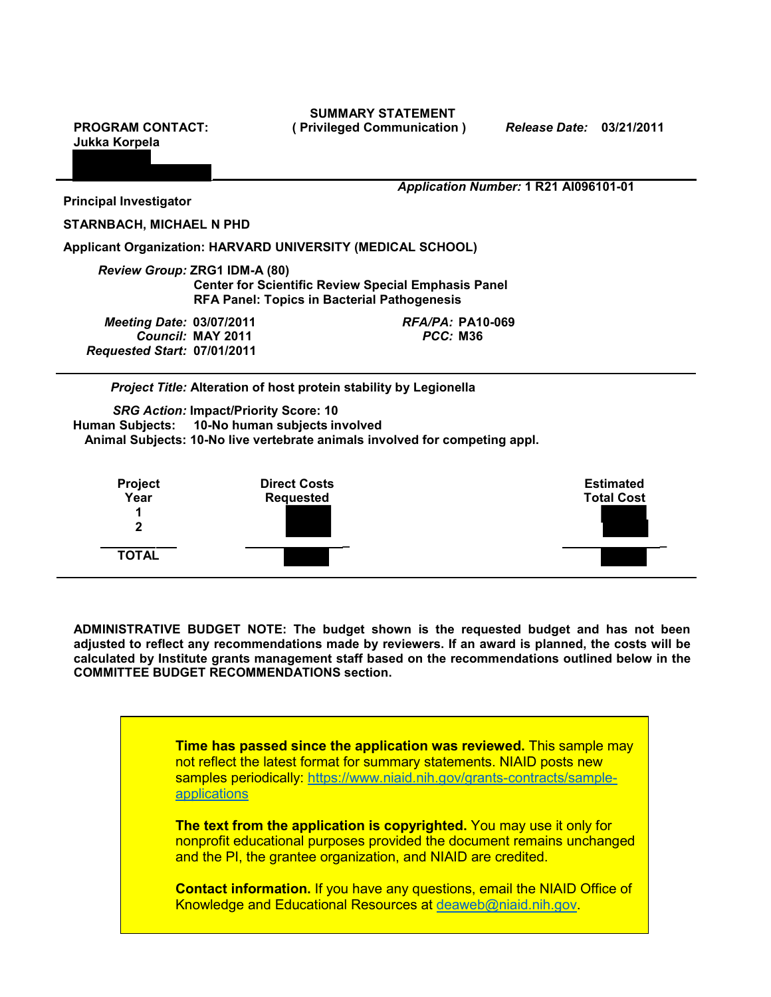**SUMMARY STATEMENT PROGRAM CONTACT: ( Privileged Communication )** *Release Date:* **03/21/2011**

**Jukka Korpela**

*Application Number:* **1 R21 AI096101-01**

**Principal Investigator** 

**STARNBACH, MICHAEL N PHD**

**Applicant Organization: HARVARD UNIVERSITY (MEDICAL SCHOOL)**

*Review Group:* **ZRG1 IDM-A (80) Center for Scientific Review Special Emphasis Panel RFA Panel: Topics in Bacterial Pathogenesis**

*Meeting Date:* **03/07/2011** *RFA/PA:* **PA10-069**  $C$ *Council:* **MAY** 2011 *Requested Start:* **07/01/2011**

*Project Title:* **Alteration of host protein stability by Legionella**

*SRG Action:* **Impact/Priority Score: 10 Human Subjects: 10-No human subjects involved Animal Subjects: 10-No live vertebrate animals involved for competing appl.**



**ADMINISTRATIVE BUDGET NOTE: The budget shown is the requested budget and has not been adjusted to reflect any recommendations made by reviewers. If an award is planned, the costs will be calculated by Institute grants management staff based on the recommendations outlined below in the COMMITTEE BUDGET RECOMMENDATIONS section.**

> **Time has passed since the application was reviewed.** This sample may not reflect the latest format for summary statements. NIAID posts new samples periodically: [https://www.niaid.nih.gov/grants-contracts/sample](https://www.niaid.nih.gov/grants-contracts/sample-applications)[applications](https://www.niaid.nih.gov/grants-contracts/sample-applications)

> **The text from the application is copyrighted.** You may use it only for nonprofit educational purposes provided the document remains unchanged and the PI, the grantee organization, and NIAID are credited.

> **Contact information.** If you have any questions, email the NIAID Office of Knowledge and Educational Resources at [deaweb@niaid.nih.gov.](mailto:deaweb@niaid.nih.gov)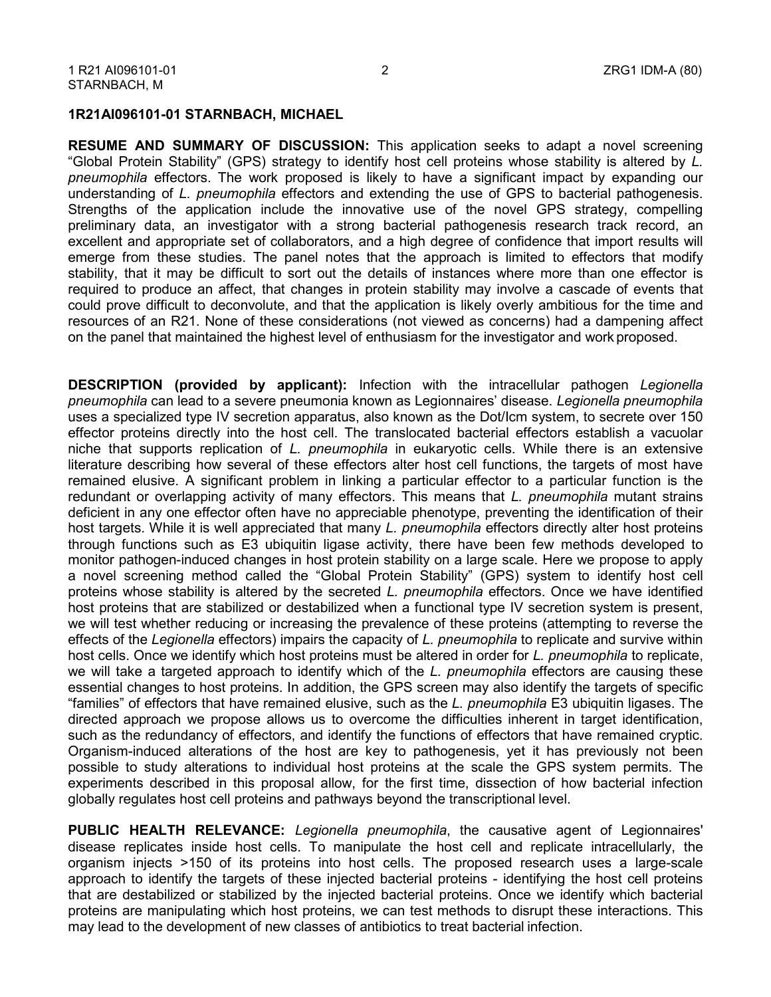#### **1R21AI096101-01 STARNBACH, MICHAEL**

**RESUME AND SUMMARY OF DISCUSSION:** This application seeks to adapt a novel screening "Global Protein Stability" (GPS) strategy to identify host cell proteins whose stability is altered by *L. pneumophila* effectors. The work proposed is likely to have a significant impact by expanding our understanding of *L. pneumophila* effectors and extending the use of GPS to bacterial pathogenesis. Strengths of the application include the innovative use of the novel GPS strategy, compelling preliminary data, an investigator with a strong bacterial pathogenesis research track record, an excellent and appropriate set of collaborators, and a high degree of confidence that import results will emerge from these studies. The panel notes that the approach is limited to effectors that modify stability, that it may be difficult to sort out the details of instances where more than one effector is required to produce an affect, that changes in protein stability may involve a cascade of events that could prove difficult to deconvolute, and that the application is likely overly ambitious for the time and resources of an R21. None of these considerations (not viewed as concerns) had a dampening affect on the panel that maintained the highest level of enthusiasm for the investigator and work proposed.

**DESCRIPTION (provided by applicant):** Infection with the intracellular pathogen *Legionella pneumophila* can lead to a severe pneumonia known as Legionnaires' disease. *Legionella pneumophila*  uses a specialized type IV secretion apparatus, also known as the Dot/Icm system, to secrete over 150 effector proteins directly into the host cell. The translocated bacterial effectors establish a vacuolar niche that supports replication of *L. pneumophila* in eukaryotic cells. While there is an extensive literature describing how several of these effectors alter host cell functions, the targets of most have remained elusive. A significant problem in linking a particular effector to a particular function is the redundant or overlapping activity of many effectors. This means that *L. pneumophila* mutant strains deficient in any one effector often have no appreciable phenotype, preventing the identification of their host targets. While it is well appreciated that many *L. pneumophila* effectors directly alter host proteins through functions such as E3 ubiquitin ligase activity, there have been few methods developed to monitor pathogen-induced changes in host protein stability on a large scale. Here we propose to apply a novel screening method called the "Global Protein Stability" (GPS) system to identify host cell proteins whose stability is altered by the secreted *L. pneumophila* effectors. Once we have identified host proteins that are stabilized or destabilized when a functional type IV secretion system is present, we will test whether reducing or increasing the prevalence of these proteins (attempting to reverse the effects of the *Legionella* effectors) impairs the capacity of *L. pneumophila* to replicate and survive within host cells. Once we identify which host proteins must be altered in order for *L. pneumophila* to replicate, we will take a targeted approach to identify which of the *L. pneumophila* effectors are causing these essential changes to host proteins. In addition, the GPS screen may also identify the targets of specific "families" of effectors that have remained elusive, such as the *L. pneumophila* E3 ubiquitin ligases. The directed approach we propose allows us to overcome the difficulties inherent in target identification, such as the redundancy of effectors, and identify the functions of effectors that have remained cryptic. Organism-induced alterations of the host are key to pathogenesis, yet it has previously not been possible to study alterations to individual host proteins at the scale the GPS system permits. The experiments described in this proposal allow, for the first time, dissection of how bacterial infection globally regulates host cell proteins and pathways beyond the transcriptional level.

**PUBLIC HEALTH RELEVANCE:** *Legionella pneumophila*, the causative agent of Legionnaires' disease replicates inside host cells. To manipulate the host cell and replicate intracellularly, the organism injects >150 of its proteins into host cells. The proposed research uses a large-scale approach to identify the targets of these injected bacterial proteins - identifying the host cell proteins that are destabilized or stabilized by the injected bacterial proteins. Once we identify which bacterial proteins are manipulating which host proteins, we can test methods to disrupt these interactions. This may lead to the development of new classes of antibiotics to treat bacterial infection.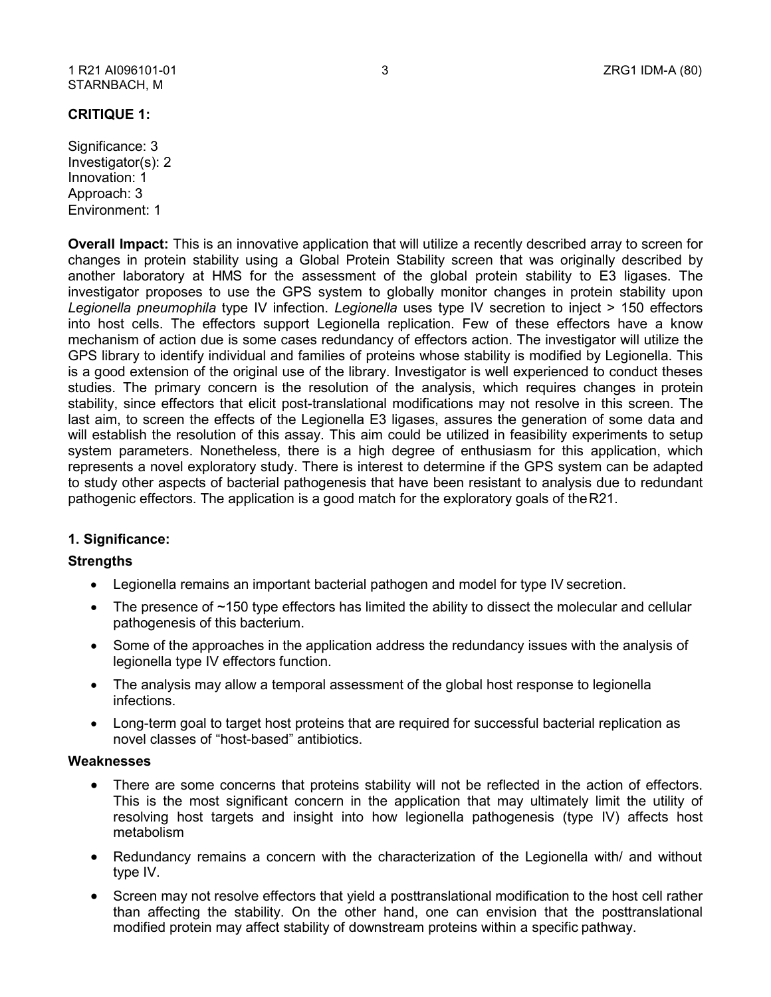#### 1 R21 AI096101-01 STARNBACH, M

# **CRITIQUE 1:**

Significance: 3 Investigator(s): 2 Innovation: 1 Approach: 3 Environment: 1

**Overall Impact:** This is an innovative application that will utilize a recently described array to screen for changes in protein stability using a Global Protein Stability screen that was originally described by another laboratory at HMS for the assessment of the global protein stability to E3 ligases. The investigator proposes to use the GPS system to globally monitor changes in protein stability upon *Legionella pneumophila* type IV infection. *Legionella* uses type IV secretion to inject > 150 effectors into host cells. The effectors support Legionella replication. Few of these effectors have a know mechanism of action due is some cases redundancy of effectors action. The investigator will utilize the GPS library to identify individual and families of proteins whose stability is modified by Legionella. This is a good extension of the original use of the library. Investigator is well experienced to conduct theses studies. The primary concern is the resolution of the analysis, which requires changes in protein stability, since effectors that elicit post-translational modifications may not resolve in this screen. The last aim, to screen the effects of the Legionella E3 ligases, assures the generation of some data and will establish the resolution of this assay. This aim could be utilized in feasibility experiments to setup system parameters. Nonetheless, there is a high degree of enthusiasm for this application, which represents a novel exploratory study. There is interest to determine if the GPS system can be adapted to study other aspects of bacterial pathogenesis that have been resistant to analysis due to redundant pathogenic effectors. The application is a good match for the exploratory goals of theR21.

# **1. Significance:**

# **Strengths**

- Legionella remains an important bacterial pathogen and model for type IV secretion.
- The presence of ~150 type effectors has limited the ability to dissect the molecular and cellular pathogenesis of this bacterium.
- Some of the approaches in the application address the redundancy issues with the analysis of legionella type IV effectors function.
- The analysis may allow a temporal assessment of the global host response to legionella infections.
- Long-term goal to target host proteins that are required for successful bacterial replication as novel classes of "host-based" antibiotics.

# **Weaknesses**

- There are some concerns that proteins stability will not be reflected in the action of effectors. This is the most significant concern in the application that may ultimately limit the utility of resolving host targets and insight into how legionella pathogenesis (type IV) affects host metabolism
- Redundancy remains a concern with the characterization of the Legionella with/ and without type IV.
- Screen may not resolve effectors that yield a posttranslational modification to the host cell rather than affecting the stability. On the other hand, one can envision that the posttranslational modified protein may affect stability of downstream proteins within a specific pathway.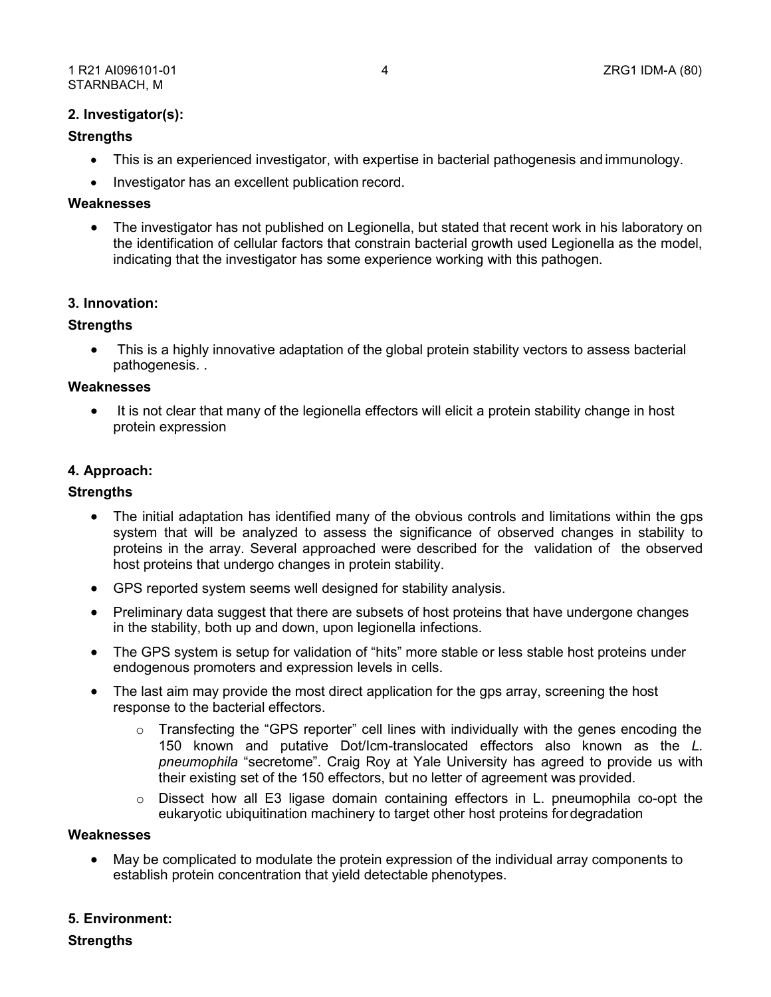# **2. Investigator(s):**

# **Strengths**

- This is an experienced investigator, with expertise in bacterial pathogenesis and immunology.
- Investigator has an excellent publication record.

# **Weaknesses**

• The investigator has not published on Legionella, but stated that recent work in his laboratory on the identification of cellular factors that constrain bacterial growth used Legionella as the model, indicating that the investigator has some experience working with this pathogen.

# **3. Innovation:**

# **Strengths**

• This is a highly innovative adaptation of the global protein stability vectors to assess bacterial pathogenesis. .

#### **Weaknesses**

• It is not clear that many of the legionella effectors will elicit a protein stability change in host protein expression

# **4. Approach:**

#### **Strengths**

- The initial adaptation has identified many of the obvious controls and limitations within the gps system that will be analyzed to assess the significance of observed changes in stability to proteins in the array. Several approached were described for the validation of the observed host proteins that undergo changes in protein stability.
- GPS reported system seems well designed for stability analysis.
- Preliminary data suggest that there are subsets of host proteins that have undergone changes in the stability, both up and down, upon legionella infections.
- The GPS system is setup for validation of "hits" more stable or less stable host proteins under endogenous promoters and expression levels in cells.
- The last aim may provide the most direct application for the gps array, screening the host response to the bacterial effectors.
	- $\circ$  Transfecting the "GPS reporter" cell lines with individually with the genes encoding the 150 known and putative Dot/Icm-translocated effectors also known as the *L. pneumophila* "secretome". Craig Roy at Yale University has agreed to provide us with their existing set of the 150 effectors, but no letter of agreement was provided.
	- $\circ$  Dissect how all E3 ligase domain containing effectors in L. pneumophila co-opt the eukaryotic ubiquitination machinery to target other host proteins fordegradation

# **Weaknesses**

• May be complicated to modulate the protein expression of the individual array components to establish protein concentration that yield detectable phenotypes.

# **5. Environment:**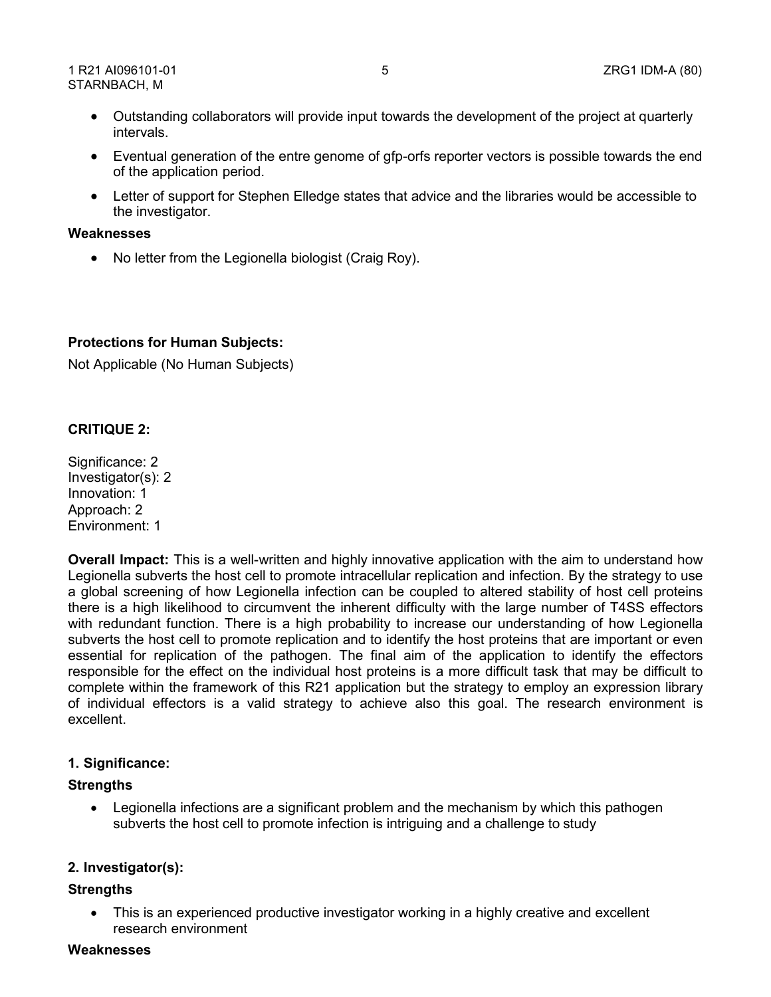- Outstanding collaborators will provide input towards the development of the project at quarterly intervals.
- Eventual generation of the entre genome of gfp-orfs reporter vectors is possible towards the end of the application period.
- Letter of support for Stephen Elledge states that advice and the libraries would be accessible to the investigator.

# **Weaknesses**

• No letter from the Legionella biologist (Craig Roy).

# **Protections for Human Subjects:**

Not Applicable (No Human Subjects)

# **CRITIQUE 2:**

Significance: 2 Investigator(s): 2 Innovation: 1 Approach: 2 Environment: 1

**Overall Impact:** This is a well-written and highly innovative application with the aim to understand how Legionella subverts the host cell to promote intracellular replication and infection. By the strategy to use a global screening of how Legionella infection can be coupled to altered stability of host cell proteins there is a high likelihood to circumvent the inherent difficulty with the large number of T4SS effectors with redundant function. There is a high probability to increase our understanding of how Legionella subverts the host cell to promote replication and to identify the host proteins that are important or even essential for replication of the pathogen. The final aim of the application to identify the effectors responsible for the effect on the individual host proteins is a more difficult task that may be difficult to complete within the framework of this R21 application but the strategy to employ an expression library of individual effectors is a valid strategy to achieve also this goal. The research environment is excellent.

# **1. Significance:**

# **Strengths**

• Legionella infections are a significant problem and the mechanism by which this pathogen subverts the host cell to promote infection is intriguing and a challenge to study

# **2. Investigator(s):**

# **Strengths**

This is an experienced productive investigator working in a highly creative and excellent research environment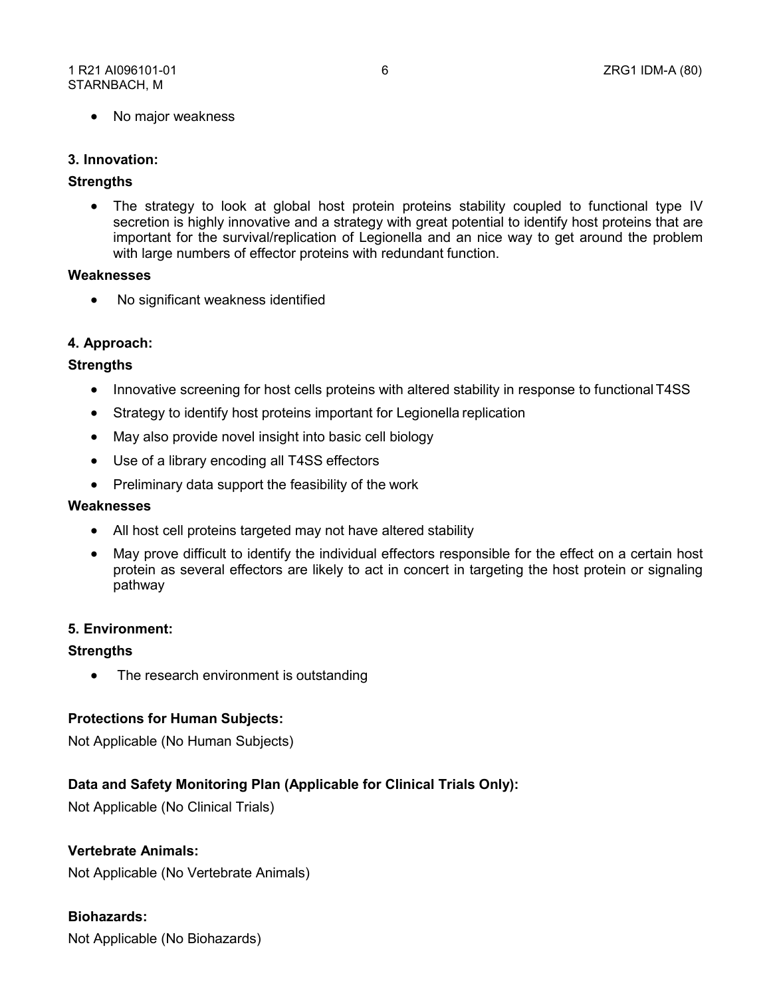• No major weakness

#### **3. Innovation:**

#### **Strengths**

• The strategy to look at global host protein proteins stability coupled to functional type IV secretion is highly innovative and a strategy with great potential to identify host proteins that are important for the survival/replication of Legionella and an nice way to get around the problem with large numbers of effector proteins with redundant function.

#### **Weaknesses**

• No significant weakness identified

# **4. Approach:**

# **Strengths**

- Innovative screening for host cells proteins with altered stability in response to functional T4SS
- Strategy to identify host proteins important for Legionella replication
- May also provide novel insight into basic cell biology
- Use of a library encoding all T4SS effectors
- Preliminary data support the feasibility of the work

#### **Weaknesses**

- All host cell proteins targeted may not have altered stability
- May prove difficult to identify the individual effectors responsible for the effect on a certain host protein as several effectors are likely to act in concert in targeting the host protein or signaling pathway

#### **5. Environment:**

#### **Strengths**

• The research environment is outstanding

# **Protections for Human Subjects:**

Not Applicable (No Human Subjects)

# **Data and Safety Monitoring Plan (Applicable for Clinical Trials Only):**

Not Applicable (No Clinical Trials)

# **Vertebrate Animals:**

Not Applicable (No Vertebrate Animals)

# **Biohazards:**

Not Applicable (No Biohazards)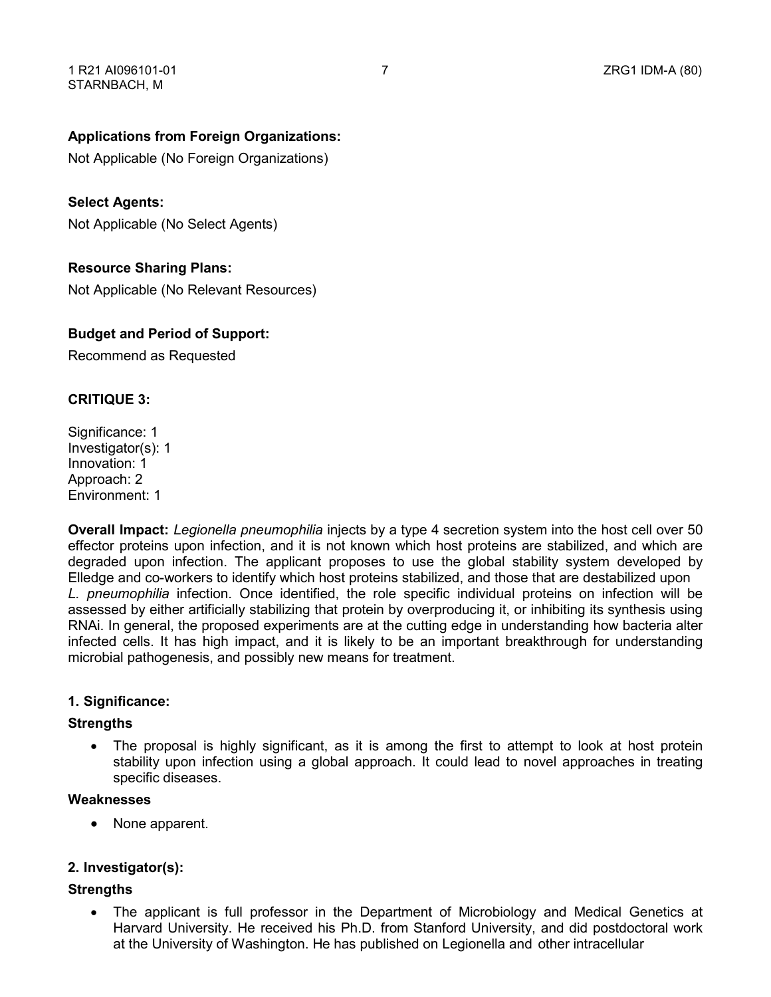# **Applications from Foreign Organizations:**

Not Applicable (No Foreign Organizations)

# **Select Agents:**

Not Applicable (No Select Agents)

# **Resource Sharing Plans:**

Not Applicable (No Relevant Resources)

# **Budget and Period of Support:**

Recommend as Requested

# **CRITIQUE 3:**

Significance: 1 Investigator(s): 1 Innovation: 1 Approach: 2 Environment: 1

**Overall Impact:** *Legionella pneumophilia* injects by a type 4 secretion system into the host cell over 50 effector proteins upon infection, and it is not known which host proteins are stabilized, and which are degraded upon infection. The applicant proposes to use the global stability system developed by Elledge and co-workers to identify which host proteins stabilized, and those that are destabilized upon *L. pneumophilia* infection. Once identified, the role specific individual proteins on infection will be assessed by either artificially stabilizing that protein by overproducing it, or inhibiting its synthesis using RNAi. In general, the proposed experiments are at the cutting edge in understanding how bacteria alter infected cells. It has high impact, and it is likely to be an important breakthrough for understanding microbial pathogenesis, and possibly new means for treatment.

# **1. Significance:**

# **Strengths**

• The proposal is highly significant, as it is among the first to attempt to look at host protein stability upon infection using a global approach. It could lead to novel approaches in treating specific diseases.

# **Weaknesses**

• None apparent.

# **2. Investigator(s):**

# **Strengths**

• The applicant is full professor in the Department of Microbiology and Medical Genetics at Harvard University. He received his Ph.D. from Stanford University, and did postdoctoral work at the University of Washington. He has published on Legionella and other intracellular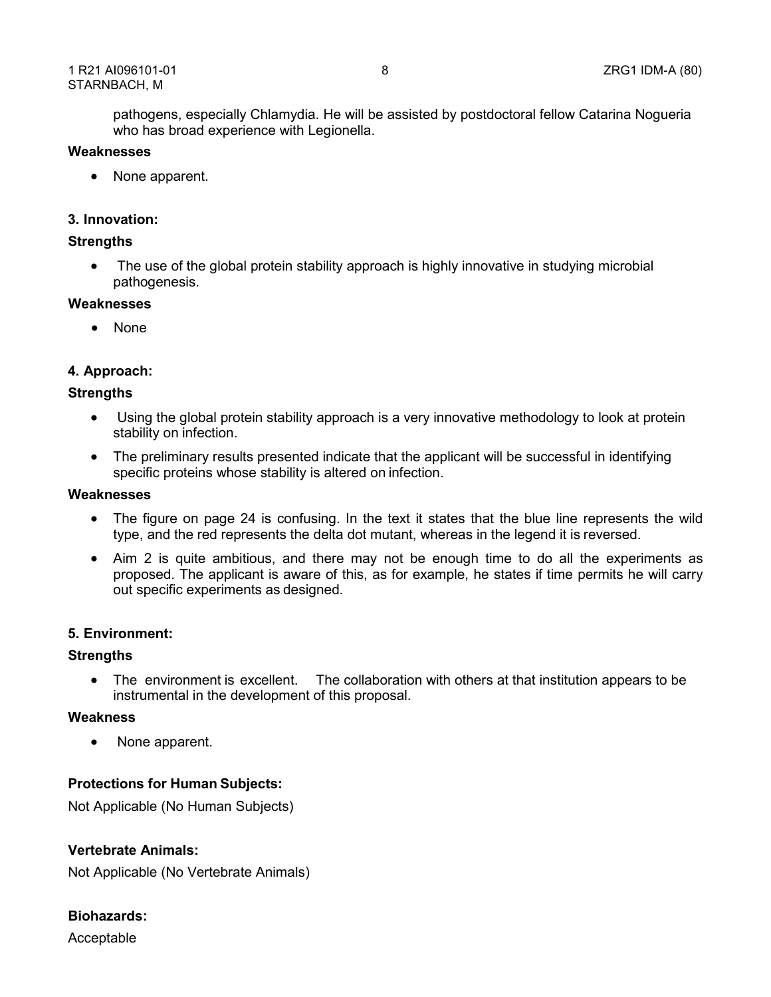pathogens, especially Chlamydia. He will be assisted by postdoctoral fellow Catarina Nogueria who has broad experience with Legionella.

#### **Weaknesses**

• None apparent.

# **3. Innovation:**

# **Strengths**

• The use of the global protein stability approach is highly innovative in studying microbial pathogenesis.

# **Weaknesses**

• None

# **4. Approach:**

# **Strengths**

- Using the global protein stability approach is a very innovative methodology to look at protein stability on infection.
- The preliminary results presented indicate that the applicant will be successful in identifying specific proteins whose stability is altered on infection.

#### **Weaknesses**

- The figure on page 24 is confusing. In the text it states that the blue line represents the wild type, and the red represents the delta dot mutant, whereas in the legend it is reversed.
- Aim 2 is quite ambitious, and there may not be enough time to do all the experiments as proposed. The applicant is aware of this, as for example, he states if time permits he will carry out specific experiments as designed.

# **5. Environment:**

# **Strengths**

• The environment is excellent. The collaboration with others at that institution appears to be instrumental in the development of this proposal.

#### **Weakness**

• None apparent.

# **Protections for Human Subjects:**

Not Applicable (No Human Subjects)

# **Vertebrate Animals:**

Not Applicable (No Vertebrate Animals)

# **Biohazards:**

Acceptable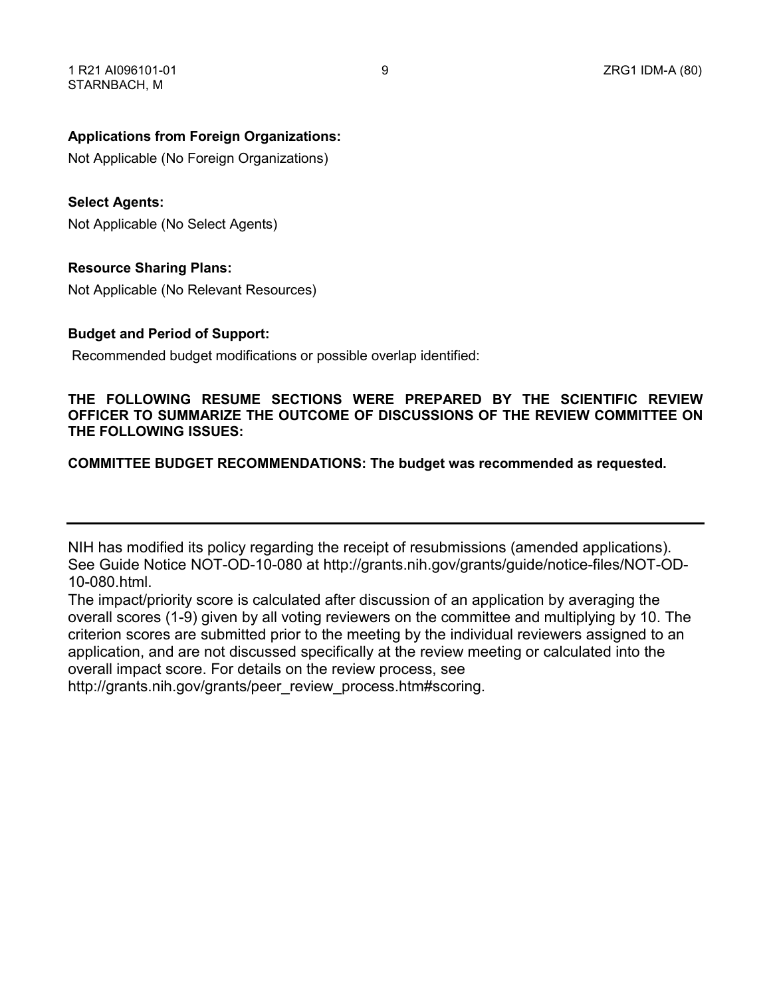# **Applications from Foreign Organizations:**

Not Applicable (No Foreign Organizations)

# **Select Agents:**

Not Applicable (No Select Agents)

# **Resource Sharing Plans:**

Not Applicable (No Relevant Resources)

# **Budget and Period of Support:**

Recommended budget modifications or possible overlap identified:

# **THE FOLLOWING RESUME SECTIONS WERE PREPARED BY THE SCIENTIFIC REVIEW OFFICER TO SUMMARIZE THE OUTCOME OF DISCUSSIONS OF THE REVIEW COMMITTEE ON THE FOLLOWING ISSUES:**

# **COMMITTEE BUDGET RECOMMENDATIONS: The budget was recommended as requested.**

NIH has modified its policy regarding the receipt of resubmissions (amended applications). See Guide Notice NOT-OD-10-080 at<http://grants.nih.gov/grants/guide/notice-files/NOT-OD->10-080.html.

The impact/priority score is calculated after discussion of an application by averaging the overall scores (1-9) given by all voting reviewers on the committee and multiplying by 10. The criterion scores are submitted prior to the meeting by the individual reviewers assigned to an application, and are not discussed specifically at the review meeting or calculated into the overall impact score. For details on the review process, see

[http://grants.nih.gov/grants/peer\\_review\\_process.htm#scoring.](http://grants.nih.gov/grants/peer_review_process.htm#scoring)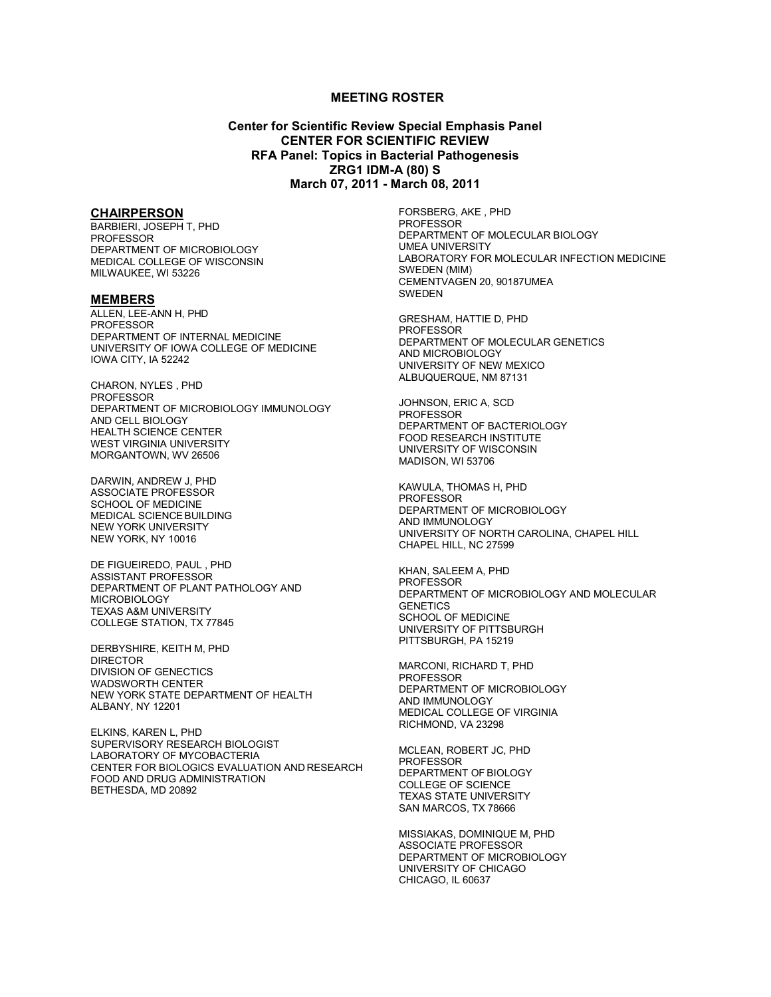#### **MEETING ROSTER**

**Center for Scientific Review Special Emphasis Panel CENTER FOR SCIENTIFIC REVIEW RFA Panel: Topics in Bacterial Pathogenesis ZRG1 IDM-A (80) S March 07, 2011 - March 08, 2011**

#### **CHAIRPERSON**

BARBIERI, JOSEPH T, PHD PROFESSOR DEPARTMENT OF MICROBIOLOGY MEDICAL COLLEGE OF WISCONSIN MILWAUKEE, WI 53226

#### **MEMBERS**

ALLEN, LEE-ANN H, PHD PROFESSOR DEPARTMENT OF INTERNAL MEDICINE UNIVERSITY OF IOWA COLLEGE OF MEDICINE IOWA CITY, IA 52242

CHARON, NYLES , PHD PROFESSOR DEPARTMENT OF MICROBIOLOGY IMMUNOLOGY AND CELL BIOLOGY HEALTH SCIENCE CENTER WEST VIRGINIA UNIVERSITY MORGANTOWN, WV 26506

DARWIN, ANDREW J, PHD ASSOCIATE PROFESSOR SCHOOL OF MEDICINE MEDICAL SCIENCEBUILDING NEW YORK UNIVERSITY NEW YORK, NY 10016

DE FIGUEIREDO, PAUL , PHD ASSISTANT PROFESSOR DEPARTMENT OF PLANT PATHOLOGY AND MICROBIOLOGY TEXAS A&M UNIVERSITY COLLEGE STATION, TX 77845

DERBYSHIRE, KEITH M, PHD DIRECTOR DIVISION OF GENECTICS WADSWORTH CENTER NEW YORK STATE DEPARTMENT OF HEALTH ALBANY, NY 12201

ELKINS, KAREN L, PHD SUPERVISORY RESEARCH BIOLOGIST LABORATORY OF MYCOBACTERIA CENTER FOR BIOLOGICS EVALUATION AND RESEARCH FOOD AND DRUG ADMINISTRATION BETHESDA, MD 20892

FORSBERG, AKE , PHD PROFESSOR DEPARTMENT OF MOLECULAR BIOLOGY UMEA UNIVERSITY LABORATORY FOR MOLECULAR INFECTION MEDICINE SWEDEN (MIM) CEMENTVAGEN 20, 90187UMEA SWEDEN

GRESHAM, HATTIE D, PHD PROFESSOR DEPARTMENT OF MOLECULAR GENETICS AND MICROBIOLOGY UNIVERSITY OF NEW MEXICO ALBUQUERQUE, NM 87131

JOHNSON, ERIC A, SCD PROFESSOR DEPARTMENT OF BACTERIOLOGY FOOD RESEARCH INSTITUTE UNIVERSITY OF WISCONSIN MADISON, WI 53706

KAWULA, THOMAS H, PHD PROFESSOR DEPARTMENT OF MICROBIOLOGY AND IMMUNOLOGY UNIVERSITY OF NORTH CAROLINA, CHAPEL HILL CHAPEL HILL, NC 27599

KHAN, SALEEM A, PHD PROFESSOR DEPARTMENT OF MICROBIOLOGY AND MOLECULAR **GENETICS** SCHOOL OF MEDICINE UNIVERSITY OF PITTSBURGH PITTSBURGH, PA 15219

MARCONI, RICHARD T, PHD PROFESSOR DEPARTMENT OF MICROBIOLOGY AND IMMUNOLOGY MEDICAL COLLEGE OF VIRGINIA RICHMOND, VA 23298

MCLEAN, ROBERT JC, PHD PROFESSOR DEPARTMENT OF BIOLOGY COLLEGE OF SCIENCE TEXAS STATE UNIVERSITY SAN MARCOS, TX 78666

MISSIAKAS, DOMINIQUE M, PHD ASSOCIATE PROFESSOR DEPARTMENT OF MICROBIOLOGY UNIVERSITY OF CHICAGO CHICAGO, IL 60637